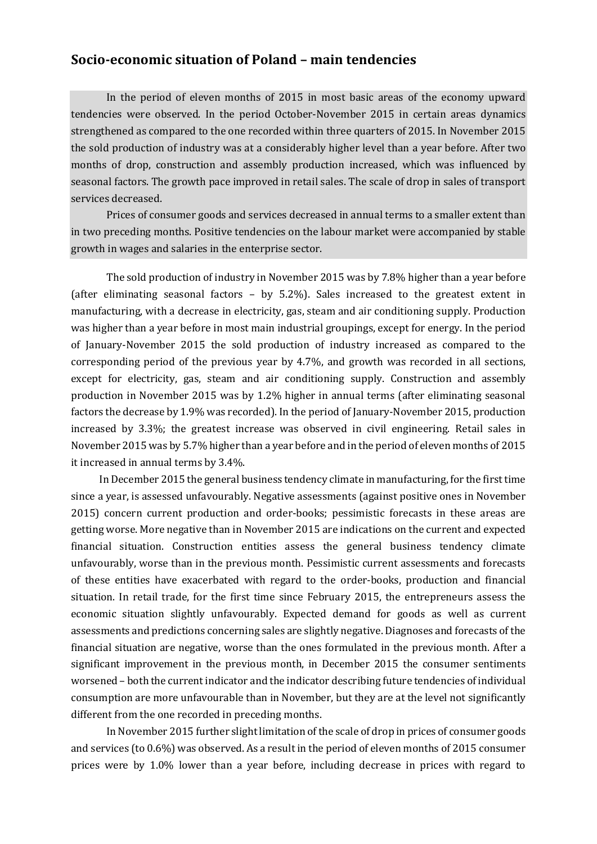## **Socio-economic situation of Poland – main tendencies**

In the period of eleven months of 2015 in most basic areas of the economy upward tendencies were observed. In the period October-November 2015 in certain areas dynamics strengthened as compared to the one recorded within three quarters of 2015. In November 2015 the sold production of industry was at a considerably higher level than a year before. After two months of drop, construction and assembly production increased, which was influenced by seasonal factors. The growth pace improved in retail sales. The scale of drop in sales of transport services decreased.

Prices of consumer goods and services decreased in annual terms to a smaller extent than in two preceding months. Positive tendencies on the labour market were accompanied by stable growth in wages and salaries in the enterprise sector.

The sold production of industry in November 2015 was by 7.8% higher than a year before (after eliminating seasonal factors – by 5.2%). Sales increased to the greatest extent in manufacturing, with a decrease in electricity, gas, steam and air conditioning supply. Production was higher than a year before in most main industrial groupings, except for energy. In the period of January-November 2015 the sold production of industry increased as compared to the corresponding period of the previous year by 4.7%, and growth was recorded in all sections, except for electricity, gas, steam and air conditioning supply. Construction and assembly production in November 2015 was by 1.2% higher in annual terms (after eliminating seasonal factors the decrease by 1.9% was recorded). In the period of January-November 2015, production increased by 3.3%; the greatest increase was observed in civil engineering. Retail sales in November 2015 was by 5.7% higher than a year before and in the period of eleven months of 2015 it increased in annual terms by 3.4%.

In December 2015 the general business tendency climate in manufacturing, for the first time since a year, is assessed unfavourably. Negative assessments (against positive ones in November 2015) concern current production and order-books; pessimistic forecasts in these areas are getting worse. More negative than in November 2015 are indications on the current and expected financial situation. Construction entities assess the general business tendency climate unfavourably, worse than in the previous month. Pessimistic current assessments and forecasts of these entities have exacerbated with regard to the order-books, production and financial situation. In retail trade, for the first time since February 2015, the entrepreneurs assess the economic situation slightly unfavourably. Expected demand for goods as well as current assessments and predictions concerning sales are slightly negative. Diagnoses and forecasts of the financial situation are negative, worse than the ones formulated in the previous month. After a significant improvement in the previous month, in December 2015 the consumer sentiments worsened – both the current indicator and the indicator describing future tendencies of individual consumption are more unfavourable than in November, but they are at the level not significantly different from the one recorded in preceding months.

In November 2015 further slight limitation of the scale of drop in prices of consumer goods and services (to 0.6%) was observed. As a result in the period of eleven months of 2015 consumer prices were by 1.0% lower than a year before, including decrease in prices with regard to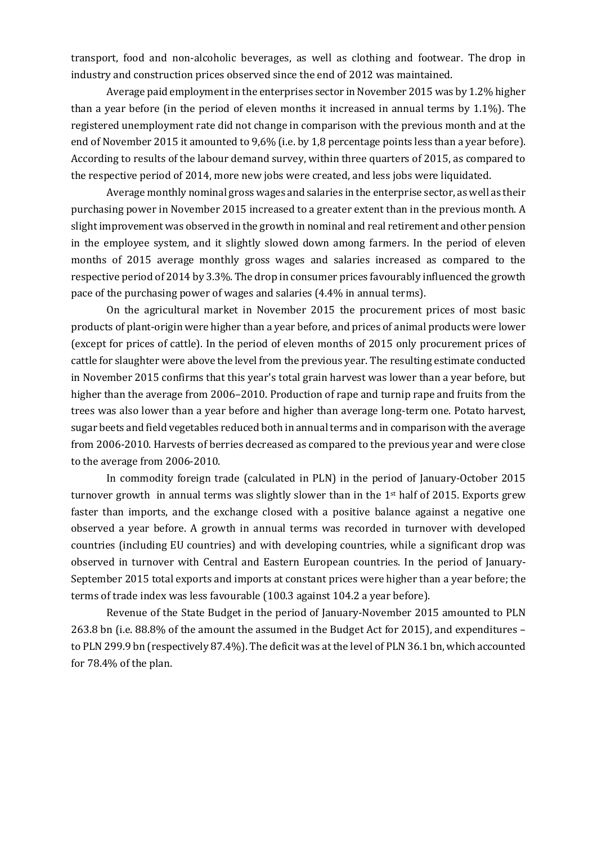transport, food and non-alcoholic beverages, as well as clothing and footwear. The drop in industry and construction prices observed since the end of 2012 was maintained.

Average paid employment in the enterprises sector in November 2015 was by 1.2% higher than a year before (in the period of eleven months it increased in annual terms by 1.1%). The registered unemployment rate did not change in comparison with the previous month and at the end of November 2015 it amounted to 9,6% (i.e. by 1,8 percentage points less than a year before). According to results of the labour demand survey, within three quarters of 2015, as compared to the respective period of 2014, more new jobs were created, and less jobs were liquidated.

Average monthly nominal gross wages and salaries in the enterprise sector, as well as their purchasing power in November 2015 increased to a greater extent than in the previous month. A slight improvement was observed in the growth in nominal and real retirement and other pension in the employee system, and it slightly slowed down among farmers. In the period of eleven months of 2015 average monthly gross wages and salaries increased as compared to the respective period of 2014 by 3.3%. The drop in consumer prices favourably influenced the growth pace of the purchasing power of wages and salaries (4.4% in annual terms).

On the agricultural market in November 2015 the procurement prices of most basic products of plant-origin were higher than a year before, and prices of animal products were lower (except for prices of cattle). In the period of eleven months of 2015 only procurement prices of cattle for slaughter were above the level from the previous year. The resulting estimate conducted in November 2015 confirms that this year's total grain harvest was lower than a year before, but higher than the average from 2006–2010. Production of rape and turnip rape and fruits from the trees was also lower than a year before and higher than average long-term one. Potato harvest, sugar beets and field vegetables reduced both in annual terms and in comparison with the average from 2006-2010. Harvests of berries decreased as compared to the previous year and were close to the average from 2006-2010.

In commodity foreign trade (calculated in PLN) in the period of January-October 2015 turnover growth in annual terms was slightly slower than in the  $1<sup>st</sup>$  half of 2015. Exports grew faster than imports, and the exchange closed with a positive balance against a negative one observed a year before. A growth in annual terms was recorded in turnover with developed countries (including EU countries) and with developing countries, while a significant drop was observed in turnover with Central and Eastern European countries. In the period of January-September 2015 total exports and imports at constant prices were higher than a year before; the terms of trade index was less favourable (100.3 against 104.2 a year before).

Revenue of the State Budget in the period of January-November 2015 amounted to PLN 263.8 bn (i.e. 88.8% of the amount the assumed in the Budget Act for 2015), and expenditures – to PLN 299.9 bn (respectively 87.4%). The deficit was at the level of PLN 36.1 bn, which accounted for 78.4% of the plan.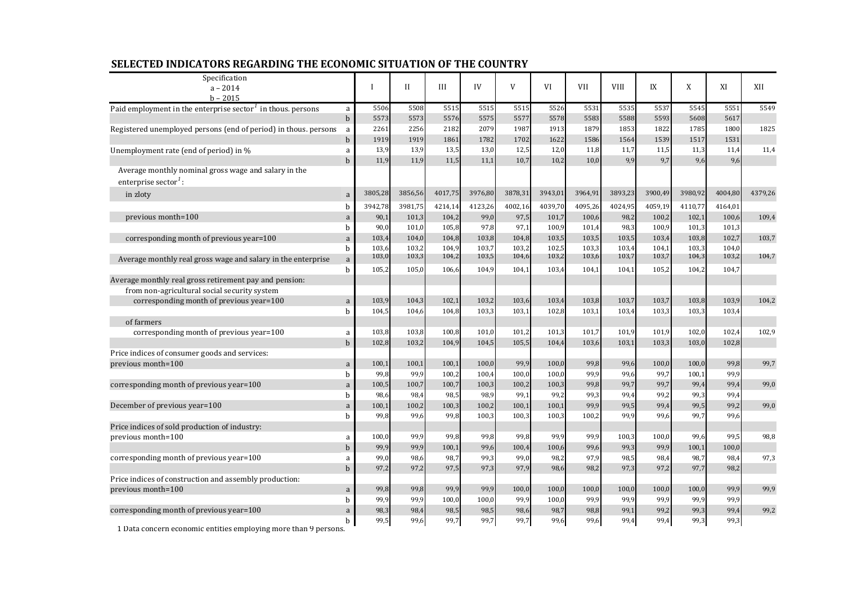| Specification<br>$a - 2014$                                                              |              | I       | $\mathbf{I}$ | III     | IV      | V       | VI      | VII     | <b>VIII</b> | IX      | X       | XI      | XII     |
|------------------------------------------------------------------------------------------|--------------|---------|--------------|---------|---------|---------|---------|---------|-------------|---------|---------|---------|---------|
| $b - 2015$                                                                               |              |         |              |         |         |         |         |         |             |         |         |         |         |
| Paid employment in the enterprise sector <sup><math>1</math></sup> in thous. persons     | a            | 5506    | 5508         | 5515    | 5515    | 5515    | 5526    | 5531    | 5535        | 5537    | 5545    | 5551    | 5549    |
|                                                                                          | $\mathbf b$  | 5573    | 5573         | 5576    | 5575    | 5577    | 5578    | 5583    | 5588        | 5593    | 5608    | 5617    |         |
| Registered unemployed persons (end of period) in thous. persons                          | a            | 2261    | 2256         | 2182    | 2079    | 1987    | 1913    | 1879    | 1853        | 1822    | 1785    | 1800    | 1825    |
|                                                                                          | $\mathbf b$  | 1919    | 1919         | 1861    | 1782    | 1702    | 1622    | 1586    | 1564        | 1539    | 1517    | 1531    |         |
| Unemployment rate (end of period) in %                                                   | a            | 13,9    | 13,9         | 13,5    | 13,0    | 12,5    | 12,0    | 11,8    | 11,7        | 11,5    | 11,3    | 11,4    | 11,4    |
|                                                                                          | $\mathbf b$  | 11,9    | 11,9         | 11,5    | 11,1    | 10,7    | 10,2    | 10,0    | 9,9         | 9,7     | 9,6     | 9,6     |         |
| Average monthly nominal gross wage and salary in the<br>enterprise sector <sup>1</sup> : |              |         |              |         |         |         |         |         |             |         |         |         |         |
| in zloty                                                                                 | a            | 3805,28 | 3856,56      | 4017,75 | 3976,80 | 3878,31 | 3943,01 | 3964,91 | 3893,23     | 3900,49 | 3980,92 | 4004,80 | 4379,26 |
|                                                                                          | h            | 3942,78 | 3981,75      | 4214,14 | 4123,26 | 4002,16 | 4039,70 | 4095,26 | 4024,95     | 4059,19 | 4110,77 | 4164,01 |         |
| previous month=100                                                                       | a            | 90,1    | 101,3        | 104,2   | 99,0    | 97,5    | 101,7   | 100,6   | 98,2        | 100,2   | 102,1   | 100,6   | 109,4   |
|                                                                                          | b            | 90,0    | 101,0        | 105,8   | 97,8    | 97,1    | 100,9   | 101,4   | 98,3        | 100,9   | 101,3   | 101,3   |         |
| corresponding month of previous year=100                                                 | a            | 103,4   | 104,0        | 104,8   | 103,8   | 104,8   | 103,5   | 103,5   | 103,5       | 103,4   | 103,8   | 102,7   | 103,7   |
|                                                                                          | b            | 103,6   | 103,2        | 104,9   | 103,7   | 103,2   | 102,5   | 103,3   | 103,4       | 104,1   | 103,3   | 104,0   |         |
| Average monthly real gross wage and salary in the enterprise                             | a            | 103,0   | 103,3        | 104,2   | 103,5   | 104,6   | 103,2   | 103,6   | 103,7       | 103,7   | 104,3   | 103,2   | 104,7   |
|                                                                                          | b            | 105,2   | 105,0        | 106,6   | 104,9   | 104,1   | 103,4   | 104,1   | 104,1       | 105,2   | 104,2   | 104,7   |         |
| Average monthly real gross retirement pay and pension:                                   |              |         |              |         |         |         |         |         |             |         |         |         |         |
| from non-agricultural social security system                                             |              |         |              |         |         |         |         |         |             |         |         |         |         |
| corresponding month of previous year=100                                                 | $\mathbf{a}$ | 103,9   | 104,3        | 102,1   | 103,2   | 103,6   | 103,4   | 103,8   | 103,7       | 103,7   | 103,8   | 103,9   | 104,2   |
|                                                                                          | $\mathbf b$  | 104,5   | 104,6        | 104,8   | 103,3   | 103,1   | 102,8   | 103,1   | 103,4       | 103,3   | 103,3   | 103,4   |         |
| of farmers                                                                               |              |         |              |         |         |         |         |         |             |         |         |         |         |
| corresponding month of previous year=100                                                 | a            | 103,8   | 103,8        | 100,8   | 101,0   | 101,2   | 101,3   | 101,7   | 101,9       | 101,9   | 102,0   | 102,4   | 102,9   |
|                                                                                          | $\mathbf b$  | 102,8   | 103,2        | 104,9   | 104,5   | 105,5   | 104,4   | 103,6   | 103,1       | 103,3   | 103,0   | 102,8   |         |
| Price indices of consumer goods and services:<br>previous month=100                      |              | 100,1   | 100,1        | 100,1   | 100,0   | 99,9    | 100,0   | 99,8    | 99,6        | 100,0   | 100,0   | 99,8    | 99,7    |
| corresponding month of previous year=100                                                 | a<br>b       | 99,8    | 99,9         | 100,2   | 100,4   | 100,0   | 100,0   | 99,9    | 99,6        | 99,7    | 100,1   | 99,9    |         |
|                                                                                          | $\mathbf a$  | 100,5   | 100,7        | 100,7   | 100,3   | 100,2   | 100,3   | 99,8    | 99,7        | 99,7    | 99,4    | 99,4    | 99,0    |
|                                                                                          | b            | 98,6    | 98,4         | 98,5    | 98,9    | 99,1    | 99,2    | 99,3    | 99,4        | 99,2    | 99,3    | 99,4    |         |
| December of previous year=100                                                            | a            | 100,1   | 100,2        | 100,3   | 100,2   | 100,1   | 100,1   | 99,9    | 99,5        | 99,4    | 99,5    | 99,2    | 99,0    |
|                                                                                          | b            | 99,8    | 99,6         | 99,8    | 100,3   | 100,3   | 100,3   | 100,2   | 99,9        | 99,6    | 99,7    | 99,6    |         |
| Price indices of sold production of industry:                                            |              |         |              |         |         |         |         |         |             |         |         |         |         |
| previous month=100                                                                       | a            | 100,0   | 99,9         | 99,8    | 99,8    | 99,8    | 99,9    | 99,9    | 100,3       | 100,0   | 99,6    | 99,5    | 98.8    |
|                                                                                          | $\mathbf b$  | 99,9    | 99,9         | 100,1   | 99,6    | 100,4   | 100,6   | 99,6    | 99,3        | 99,9    | 100,1   | 100,0   |         |
| corresponding month of previous year=100                                                 | a            | 99,0    | 98,6         | 98,7    | 99,3    | 99,0    | 98,2    | 97,9    | 98,5        | 98,4    | 98,7    | 98,4    | 97,3    |
|                                                                                          | b            | 97,2    | 97,2         | 97,5    | 97,3    | 97,9    | 98,6    | 98,2    | 97,3        | 97,2    | 97,7    | 98,2    |         |
| Price indices of construction and assembly production:                                   |              |         |              |         |         |         |         |         |             |         |         |         |         |
| previous month=100                                                                       | a            | 99,8    | 99,8         | 99,9    | 99,9    | 100,0   | 100,0   | 100,0   | 100,0       | 100,0   | 100,0   | 99,9    | 99,9    |
|                                                                                          | b            | 99,9    | 99,9         | 100,0   | 100,0   | 99,9    | 100,0   | 99,9    | 99,9        | 99,9    | 99,9    | 99,9    |         |
| corresponding month of previous year=100                                                 | a            | 98,3    | 98,4         | 98,5    | 98,5    | 98,6    | 98,7    | 98,8    | 99,1        | 99,2    | 99,3    | 99,4    | 99,2    |
|                                                                                          | b            | 99,5    | 99,6         | 99,7    | 99,7    | 99,7    | 99,6    | 99,6    | 99,4        | 99,4    | 99,3    | 99,3    |         |

## **SELECTED INDICATORS REGARDING THE ECONOMIC SITUATION OF THE COUNTRY**

1 Data concern economic entities employing more than 9 persons.